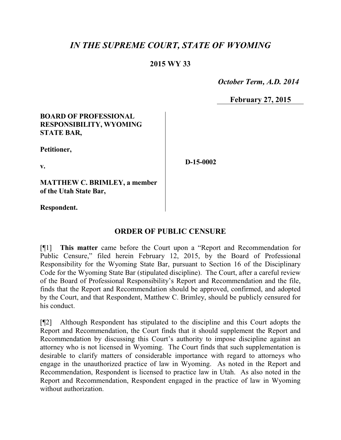## *IN THE SUPREME COURT, STATE OF WYOMING*

## **2015 WY 33**

 *October Term, A.D. 2014*

**February 27, 2015**

### **BOARD OF PROFESSIONAL RESPONSIBILITY, WYOMING STATE BAR,**

**Petitioner,**

**v.**

**D-15-0002**

**MATTHEW C. BRIMLEY, a member of the Utah State Bar,**

**Respondent.**

## **ORDER OF PUBLIC CENSURE**

[¶1] **This matter** came before the Court upon a "Report and Recommendation for Public Censure," filed herein February 12, 2015, by the Board of Professional Responsibility for the Wyoming State Bar, pursuant to Section 16 of the Disciplinary Code for the Wyoming State Bar (stipulated discipline). The Court, after a careful review of the Board of Professional Responsibility's Report and Recommendation and the file, finds that the Report and Recommendation should be approved, confirmed, and adopted by the Court, and that Respondent, Matthew C. Brimley, should be publicly censured for his conduct.

[¶2] Although Respondent has stipulated to the discipline and this Court adopts the Report and Recommendation, the Court finds that it should supplement the Report and Recommendation by discussing this Court's authority to impose discipline against an attorney who is not licensed in Wyoming. The Court finds that such supplementation is desirable to clarify matters of considerable importance with regard to attorneys who engage in the unauthorized practice of law in Wyoming. As noted in the Report and Recommendation, Respondent is licensed to practice law in Utah. As also noted in the Report and Recommendation, Respondent engaged in the practice of law in Wyoming without authorization.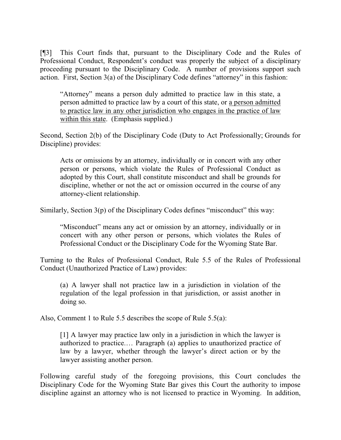[¶3] This Court finds that, pursuant to the Disciplinary Code and the Rules of Professional Conduct, Respondent's conduct was properly the subject of a disciplinary proceeding pursuant to the Disciplinary Code. A number of provisions support such action. First, Section 3(a) of the Disciplinary Code defines "attorney" in this fashion:

"Attorney" means a person duly admitted to practice law in this state, a person admitted to practice law by a court of this state, or a person admitted to practice law in any other jurisdiction who engages in the practice of law within this state. (Emphasis supplied.)

Second, Section 2(b) of the Disciplinary Code (Duty to Act Professionally; Grounds for Discipline) provides:

Acts or omissions by an attorney, individually or in concert with any other person or persons, which violate the Rules of Professional Conduct as adopted by this Court, shall constitute misconduct and shall be grounds for discipline, whether or not the act or omission occurred in the course of any attorney-client relationship.

Similarly, Section 3(p) of the Disciplinary Codes defines "misconduct" this way:

"Misconduct" means any act or omission by an attorney, individually or in concert with any other person or persons, which violates the Rules of Professional Conduct or the Disciplinary Code for the Wyoming State Bar.

Turning to the Rules of Professional Conduct, Rule 5.5 of the Rules of Professional Conduct (Unauthorized Practice of Law) provides:

(a) A lawyer shall not practice law in a jurisdiction in violation of the regulation of the legal profession in that jurisdiction, or assist another in doing so.

Also, Comment 1 to Rule 5.5 describes the scope of Rule 5.5(a):

[1] A lawyer may practice law only in a jurisdiction in which the lawyer is authorized to practice.… Paragraph (a) applies to unauthorized practice of law by a lawyer, whether through the lawyer's direct action or by the lawyer assisting another person.

Following careful study of the foregoing provisions, this Court concludes the Disciplinary Code for the Wyoming State Bar gives this Court the authority to impose discipline against an attorney who is not licensed to practice in Wyoming. In addition,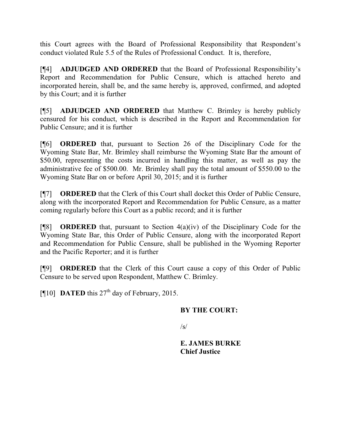this Court agrees with the Board of Professional Responsibility that Respondent's conduct violated Rule 5.5 of the Rules of Professional Conduct. It is, therefore,

[¶4] **ADJUDGED AND ORDERED** that the Board of Professional Responsibility's Report and Recommendation for Public Censure, which is attached hereto and incorporated herein, shall be, and the same hereby is, approved, confirmed, and adopted by this Court; and it is further

[¶5] **ADJUDGED AND ORDERED** that Matthew C. Brimley is hereby publicly censured for his conduct, which is described in the Report and Recommendation for Public Censure; and it is further

[¶6] **ORDERED** that, pursuant to Section 26 of the Disciplinary Code for the Wyoming State Bar, Mr. Brimley shall reimburse the Wyoming State Bar the amount of \$50.00, representing the costs incurred in handling this matter, as well as pay the administrative fee of \$500.00. Mr. Brimley shall pay the total amount of \$550.00 to the Wyoming State Bar on or before April 30, 2015; and it is further

[¶7] **ORDERED** that the Clerk of this Court shall docket this Order of Public Censure, along with the incorporated Report and Recommendation for Public Censure, as a matter coming regularly before this Court as a public record; and it is further

[¶8] **ORDERED** that, pursuant to Section 4(a)(iv) of the Disciplinary Code for the Wyoming State Bar, this Order of Public Censure, along with the incorporated Report and Recommendation for Public Censure, shall be published in the Wyoming Reporter and the Pacific Reporter; and it is further

[¶9] **ORDERED** that the Clerk of this Court cause a copy of this Order of Public Censure to be served upon Respondent, Matthew C. Brimley.

[ $[10]$  **DATED** this  $27<sup>th</sup>$  day of February, 2015.

## **BY THE COURT:**

 $\sqrt{s}$ 

**E. JAMES BURKE Chief Justice**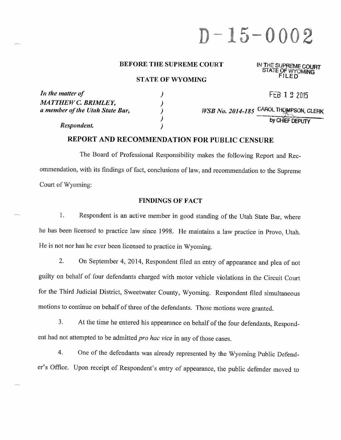# $D - 15 - 0002$

#### **BEFORE THE SUPREME COURT**

#### **STATE OF WYOMING**

## IN THE SUPREME COURT<br>STATE OF WYOMING

| In the matter of                | FEB 1 2 2015                           |
|---------------------------------|----------------------------------------|
| <b>MATTHEW C. BRIMLEY,</b>      |                                        |
| a member of the Utah State Bar, | WSB No. 2014-185 CAROL THOMPSON, CLERK |
|                                 | by CHIEF DEPUTY                        |
| Respondent.                     |                                        |

## REPORT AND RECOMMENDATION FOR PUBLIC CENSURE

The Board of Professional Responsibility makes the following Report and Recommendation, with its findings of fact, conclusions of law, and recommendation to the Supreme Court of Wyoming:

#### **FINDINGS OF FACT**

 $1.$ Respondent is an active member in good standing of the Utah State Bar, where he has been licensed to practice law since 1998. He maintains a law practice in Provo, Utah. He is not nor has he ever been licensed to practice in Wyoming.

2. On September 4, 2014, Respondent filed an entry of appearance and plea of not guilty on behalf of four defendants charged with motor vehicle violations in the Circuit Court for the Third Judicial District, Sweetwater County, Wyoming. Respondent filed simultaneous motions to continue on behalf of three of the defendants. Those motions were granted.

 $3<sub>1</sub>$ At the time he entered his appearance on behalf of the four defendants, Respondent had not attempted to be admitted pro hac vice in any of those cases.

One of the defendants was already represented by the Wyoming Public Defend- $\overline{4}$ . er's Office. Upon receipt of Respondent's entry of appearance, the public defender moved to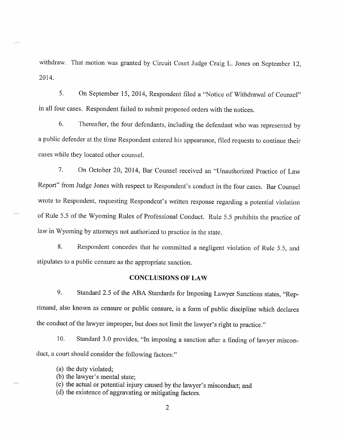withdraw. That motion was granted by Circuit Court Judge Craig L. Jones on September 12, 2014.

 $5<sub>1</sub>$ On September 15, 2014, Respondent filed a "Notice of Withdrawal of Counsel" in all four cases. Respondent failed to submit proposed orders with the notices.

 $6<sup>1</sup>$ Thereafter, the four defendants, including the defendant who was represented by a public defender at the time Respondent entered his appearance, filed requests to continue their cases while they located other counsel.

 $7<sub>1</sub>$ On October 20, 2014, Bar Counsel received an "Unauthorized Practice of Law Report" from Judge Jones with respect to Respondent's conduct in the four cases. Bar Counsel wrote to Respondent, requesting Respondent's written response regarding a potential violation of Rule 5.5 of the Wyoming Rules of Professional Conduct. Rule 5.5 prohibits the practice of law in Wyoming by attorneys not authorized to practice in the state.

8. Respondent concedes that he committed a negligent violation of Rule 5.5, and stipulates to a public censure as the appropriate sanction.

#### **CONCLUSIONS OF LAW**

9. Standard 2.5 of the ABA Standards for Imposing Lawyer Sanctions states, "Reprimand, also known as censure or public censure, is a form of public discipline which declares the conduct of the lawyer improper, but does not limit the lawyer's right to practice."

Standard 3.0 provides, "In imposing a sanction after a finding of lawyer miscon-10. duct, a court should consider the following factors:"

- (a) the duty violated;
- (b) the lawyer's mental state;
- (c) the actual or potential injury caused by the lawyer's misconduct; and

(d) the existence of aggravating or mitigating factors.

 $\overline{2}$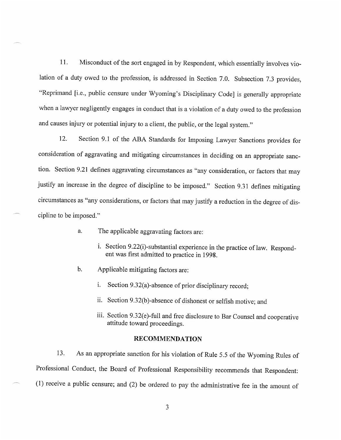Misconduct of the sort engaged in by Respondent, which essentially involves vio-11. lation of a duty owed to the profession, is addressed in Section 7.0. Subsection 7.3 provides, "Reprimand [i.e., public censure under Wyoming's Disciplinary Code] is generally appropriate when a lawyer negligently engages in conduct that is a violation of a duty owed to the profession and causes injury or potential injury to a client, the public, or the legal system."

Section 9.1 of the ABA Standards for Imposing Lawyer Sanctions provides for 12. consideration of aggravating and mitigating circumstances in deciding on an appropriate sanction. Section 9.21 defines aggravating circumstances as "any consideration, or factors that may justify an increase in the degree of discipline to be imposed." Section 9.31 defines mitigating circumstances as "any considerations, or factors that may justify a reduction in the degree of discipline to be imposed."

- a. The applicable aggravating factors are:
	- i. Section 9.22(i)-substantial experience in the practice of law. Respondent was first admitted to practice in 1998.
- $<sub>b</sub>$ .</sub> Applicable mitigating factors are:
	- i. Section 9.32(a)-absence of prior disciplinary record:
	- ii. Section 9.32(b)-absence of dishonest or selfish motive; and
	- iii. Section 9.32(e)-full and free disclosure to Bar Counsel and cooperative attitude toward proceedings.

#### **RECOMMENDATION**

As an appropriate sanction for his violation of Rule 5.5 of the Wyoming Rules of 13. Professional Conduct, the Board of Professional Responsibility recommends that Respondent:  $(1)$  receive a public censure; and  $(2)$  be ordered to pay the administrative fee in the amount of